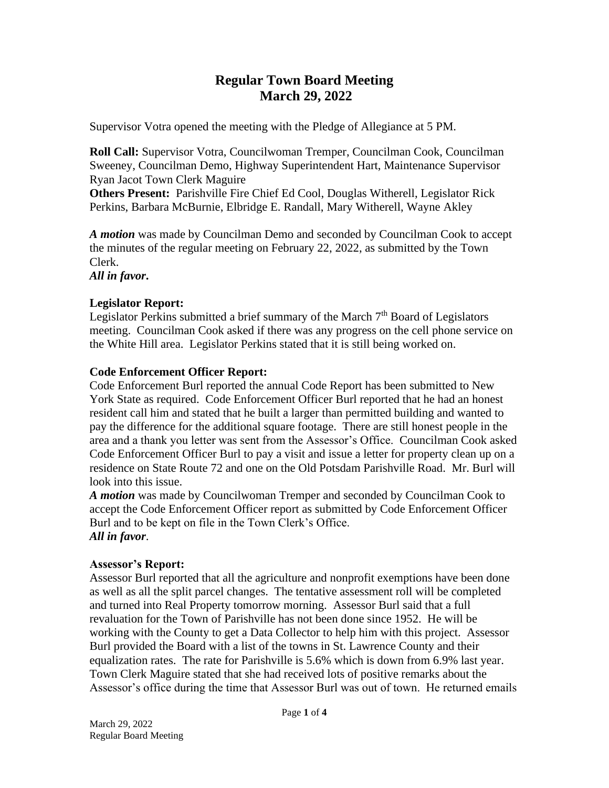# **Regular Town Board Meeting March 29, 2022**

Supervisor Votra opened the meeting with the Pledge of Allegiance at 5 PM.

**Roll Call:** Supervisor Votra, Councilwoman Tremper, Councilman Cook, Councilman Sweeney, Councilman Demo, Highway Superintendent Hart, Maintenance Supervisor Ryan Jacot Town Clerk Maguire

**Others Present:** Parishville Fire Chief Ed Cool, Douglas Witherell, Legislator Rick Perkins, Barbara McBurnie, Elbridge E. Randall, Mary Witherell, Wayne Akley

*A motion* was made by Councilman Demo and seconded by Councilman Cook to accept the minutes of the regular meeting on February 22, 2022, as submitted by the Town Clerk.

*All in favor***.**

#### **Legislator Report:**

Legislator Perkins submitted a brief summary of the March  $7<sup>th</sup>$  Board of Legislators meeting. Councilman Cook asked if there was any progress on the cell phone service on the White Hill area. Legislator Perkins stated that it is still being worked on.

## **Code Enforcement Officer Report:**

Code Enforcement Burl reported the annual Code Report has been submitted to New York State as required. Code Enforcement Officer Burl reported that he had an honest resident call him and stated that he built a larger than permitted building and wanted to pay the difference for the additional square footage. There are still honest people in the area and a thank you letter was sent from the Assessor's Office. Councilman Cook asked Code Enforcement Officer Burl to pay a visit and issue a letter for property clean up on a residence on State Route 72 and one on the Old Potsdam Parishville Road. Mr. Burl will look into this issue.

*A motion* was made by Councilwoman Tremper and seconded by Councilman Cook to accept the Code Enforcement Officer report as submitted by Code Enforcement Officer Burl and to be kept on file in the Town Clerk's Office. *All in favor*.

#### **Assessor's Report:**

Assessor Burl reported that all the agriculture and nonprofit exemptions have been done as well as all the split parcel changes. The tentative assessment roll will be completed and turned into Real Property tomorrow morning. Assessor Burl said that a full revaluation for the Town of Parishville has not been done since 1952. He will be working with the County to get a Data Collector to help him with this project. Assessor Burl provided the Board with a list of the towns in St. Lawrence County and their equalization rates. The rate for Parishville is 5.6% which is down from 6.9% last year. Town Clerk Maguire stated that she had received lots of positive remarks about the Assessor's office during the time that Assessor Burl was out of town. He returned emails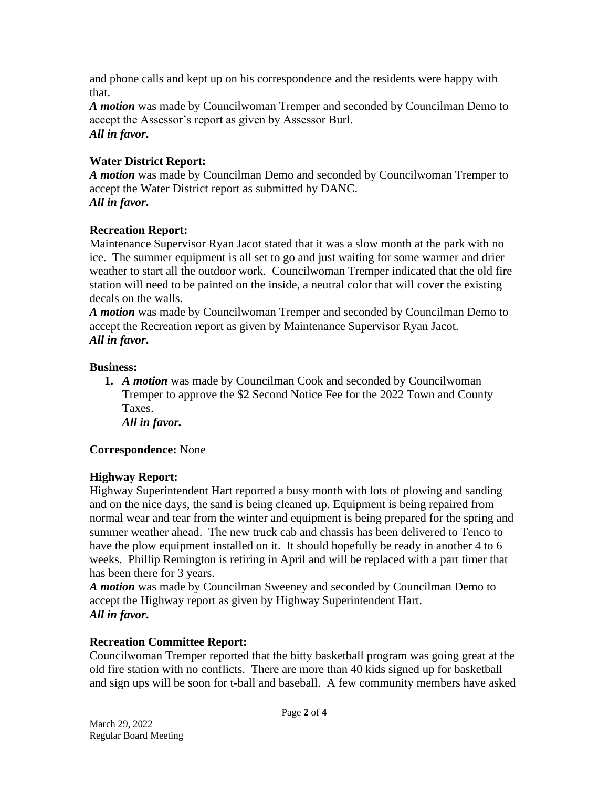and phone calls and kept up on his correspondence and the residents were happy with that.

*A motion* was made by Councilwoman Tremper and seconded by Councilman Demo to accept the Assessor's report as given by Assessor Burl. *All in favor***.**

# **Water District Report:**

*A motion* was made by Councilman Demo and seconded by Councilwoman Tremper to accept the Water District report as submitted by DANC. *All in favor***.**

#### **Recreation Report:**

Maintenance Supervisor Ryan Jacot stated that it was a slow month at the park with no ice. The summer equipment is all set to go and just waiting for some warmer and drier weather to start all the outdoor work. Councilwoman Tremper indicated that the old fire station will need to be painted on the inside, a neutral color that will cover the existing decals on the walls.

*A motion* was made by Councilwoman Tremper and seconded by Councilman Demo to accept the Recreation report as given by Maintenance Supervisor Ryan Jacot. *All in favor***.**

#### **Business:**

**1.** *A motion* was made by Councilman Cook and seconded by Councilwoman Tremper to approve the \$2 Second Notice Fee for the 2022 Town and County Taxes.

*All in favor.*

#### **Correspondence:** None

#### **Highway Report:**

Highway Superintendent Hart reported a busy month with lots of plowing and sanding and on the nice days, the sand is being cleaned up. Equipment is being repaired from normal wear and tear from the winter and equipment is being prepared for the spring and summer weather ahead. The new truck cab and chassis has been delivered to Tenco to have the plow equipment installed on it. It should hopefully be ready in another 4 to 6 weeks. Phillip Remington is retiring in April and will be replaced with a part timer that has been there for 3 years.

*A motion* was made by Councilman Sweeney and seconded by Councilman Demo to accept the Highway report as given by Highway Superintendent Hart. *All in favor***.**

#### **Recreation Committee Report:**

Councilwoman Tremper reported that the bitty basketball program was going great at the old fire station with no conflicts. There are more than 40 kids signed up for basketball and sign ups will be soon for t-ball and baseball. A few community members have asked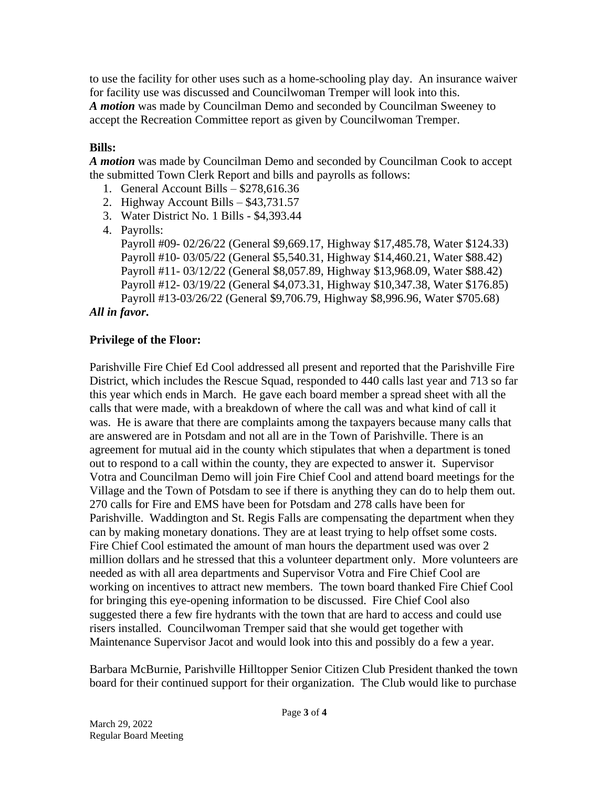to use the facility for other uses such as a home-schooling play day. An insurance waiver for facility use was discussed and Councilwoman Tremper will look into this. *A motion* was made by Councilman Demo and seconded by Councilman Sweeney to accept the Recreation Committee report as given by Councilwoman Tremper.

# **Bills:**

*A motion* was made by Councilman Demo and seconded by Councilman Cook to accept the submitted Town Clerk Report and bills and payrolls as follows:

- 1. General Account Bills \$278,616.36
- 2. Highway Account Bills \$43,731.57
- 3. Water District No. 1 Bills \$4,393.44
- 4. Payrolls:

Payroll #09- 02/26/22 (General \$9,669.17, Highway \$17,485.78, Water \$124.33) Payroll #10- 03/05/22 (General \$5,540.31, Highway \$14,460.21, Water \$88.42) Payroll #11- 03/12/22 (General \$8,057.89, Highway \$13,968.09, Water \$88.42) Payroll #12- 03/19/22 (General \$4,073.31, Highway \$10,347.38, Water \$176.85) Payroll #13-03/26/22 (General \$9,706.79, Highway \$8,996.96, Water \$705.68)

## *All in favor***.**

## **Privilege of the Floor:**

Parishville Fire Chief Ed Cool addressed all present and reported that the Parishville Fire District, which includes the Rescue Squad, responded to 440 calls last year and 713 so far this year which ends in March. He gave each board member a spread sheet with all the calls that were made, with a breakdown of where the call was and what kind of call it was. He is aware that there are complaints among the taxpayers because many calls that are answered are in Potsdam and not all are in the Town of Parishville. There is an agreement for mutual aid in the county which stipulates that when a department is toned out to respond to a call within the county, they are expected to answer it. Supervisor Votra and Councilman Demo will join Fire Chief Cool and attend board meetings for the Village and the Town of Potsdam to see if there is anything they can do to help them out. 270 calls for Fire and EMS have been for Potsdam and 278 calls have been for Parishville. Waddington and St. Regis Falls are compensating the department when they can by making monetary donations. They are at least trying to help offset some costs. Fire Chief Cool estimated the amount of man hours the department used was over 2 million dollars and he stressed that this a volunteer department only. More volunteers are needed as with all area departments and Supervisor Votra and Fire Chief Cool are working on incentives to attract new members. The town board thanked Fire Chief Cool for bringing this eye-opening information to be discussed. Fire Chief Cool also suggested there a few fire hydrants with the town that are hard to access and could use risers installed. Councilwoman Tremper said that she would get together with Maintenance Supervisor Jacot and would look into this and possibly do a few a year.

Barbara McBurnie, Parishville Hilltopper Senior Citizen Club President thanked the town board for their continued support for their organization. The Club would like to purchase